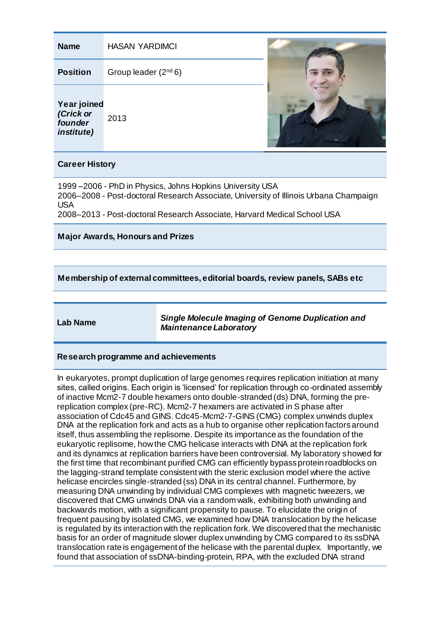# **Name** HASAN YARDIMCI

**Position** Group leader (2<sup>nd</sup> 6)

# **Year joined**

*(Crick or founder institute)* 2013



### **Career History**

1999 –2006 - PhD in Physics, Johns Hopkins University USA 2006–2008 - Post-doctoral Research Associate, University of Illinois Urbana Champaign USA 2008–2013 - Post-doctoral Research Associate, Harvard Medical School USA

# **Major Awards, Honours and Prizes**

# **Membership of external committees, editorial boards, review panels, SABs etc**

**Lab Name** *Single Molecule Imaging of Genome Duplication and Maintenance Laboratory*

#### **Research programme and achievements**

In eukaryotes, prompt duplication of large genomes requires replication initiation at many sites, called origins. Each origin is 'licensed' for replication through co-ordinated assembly of inactive Mcm2-7 double hexamers onto double-stranded (ds) DNA, forming the prereplication complex (pre-RC). Mcm2-7 hexamers are activated in S phase after association of Cdc45 and GINS. Cdc45-Mcm2-7-GINS (CMG) complex unwinds duplex DNA at the replication fork and acts as a hub to organise other replication factors around itself, thus assembling the replisome. Despite its importance as the foundation of the eukaryotic replisome, how the CMG helicase interacts with DNA at the replication fork and its dynamics at replication barriers have been controversial. My laboratory showed for the first time that recombinant purified CMG can efficiently bypass protein roadblocks on the lagging-strand template consistent with the steric exclusion model where the active helicase encircles single-stranded (ss) DNA in its central channel. Furthermore, by measuring DNA unwinding by individual CMG complexes with magnetic tweezers, we discovered that CMG unwinds DNA via a random walk, exhibiting both unwinding and backwards motion, with a significant propensity to pause. To elucidate the origin of frequent pausing by isolated CMG, we examined how DNA translocation by the helicase is regulated by its interaction with the replication fork. We discovered that the mechanistic basis for an order of magnitude slower duplex unwinding by CMG compared to its ssDNA translocation rate is engagement of the helicase with the parental duplex. Importantly, we found that association of ssDNA-binding-protein, RPA, with the excluded DNA strand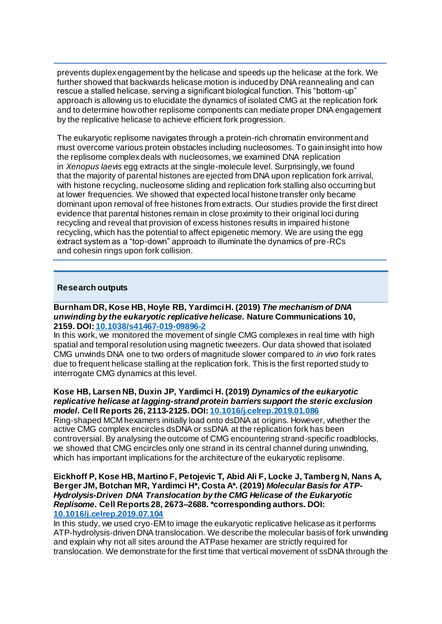prevents duplex engagement by the helicase and speeds up the helicase at the fork. We further showed that backwards helicase motion is induced by DNA reannealing and can rescue a stalled helicase, serving a significant biological function. This "bottom-up" approach is allowing us to elucidate the dynamics of isolated CMG at the replication fork and to determine how other replisome components can mediate proper DNA engagement by the replicative helicase to achieve efficient fork progression.

The eukaryotic replisome navigates through a protein-rich chromatin environment and must overcome various protein obstacles including nucleosomes. To gain insight into how the replisome complex deals with nucleosomes, we examined DNA replication in *Xenopus laevis* egg extracts at the single-molecule level. Surprisingly, we found that the majority of parental histones are ejected from DNA upon replication fork arrival, with histone recycling, nucleosome sliding and replication fork stalling also occurring but at lower frequencies. We showed that expected local histone transfer only became dominant upon removal of free histones from extracts. Our studies provide the first direct evidence that parental histones remain in close proximity to their original loci during recycling and reveal that provision of excess histones results in impaired histone recycling, which has the potential to affect epigenetic memory. We are using the egg extract system as a "top-down" approach to illuminate the dynamics of pre-RCs and cohesin rings upon fork collision.

### **Research outputs**

#### **Burnham DR, Kose HB, Hoyle RB, Yardimci H. (2019)** *The mechanism of DNA unwinding by the eukaryotic replicative helicase.* **Nature Communications 10, 2159. DOI: [10.1038/s41467-019-09896-2](https://doi.org/10.1038/s41467-019-09896-2)**

In this work, we monitored the movement of single CMG complexes in real time with high spatial and temporal resolution using magnetic tweezers. Our data showed that isolated CMG unwinds DNA one to two orders of magnitude slower compared to *in vivo* fork rates due to frequent helicase stalling at the replication fork. This is the first reported study to interrogate CMG dynamics at this level.

#### **Kose HB, Larsen NB, Duxin JP, Yardimci H. (2019)** *Dynamics of the eukaryotic replicative helicase at lagging-strand protein barriers support the steric exclusion model***. Cell Reports 26, 2113-2125. DOI[: 10.1016/j.celrep.2019.01.086](https://doi.org/10.1016/j.celrep.2019.01.086)**

Ring-shaped MCM hexamers initially load onto dsDNA at origins. However, whether the active CMG complex encircles dsDNA or ssDNA at the replication fork has been controversial. By analysing the outcome of CMG encountering strand-specific roadblocks, we showed that CMG encircles only one strand in its central channel during unwinding, which has important implications for the architecture of the eukaryotic replisome.

#### **Eickhoff P, Kose HB, Martino F, Petojevic T, Abid Ali F, Locke J, Tamberg N, Nans A, Berger JM, Botchan MR, Yardimci H\*, Costa A\*. (2019)** *Molecular Basis for ATP-Hydrolysis-Driven DNA Translocation by the CMG Helicase of the Eukaryotic Replisome***. Cell Reports 28, 2673–2688. \*corresponding authors. DOI: [10.1016/j.celrep.2019.07.104](https://doi.org/10.1016/j.celrep.2019.07.104)**

In this study, we used cryo-EM to image the eukaryotic replicative helicase as it performs ATP-hydrolysis-driven DNA translocation. We describe the molecular basis of fork unwinding and explain why not all sites around the ATPase hexamer are strictly required for translocation. We demonstrate for the first time that vertical movement of ssDNA through the